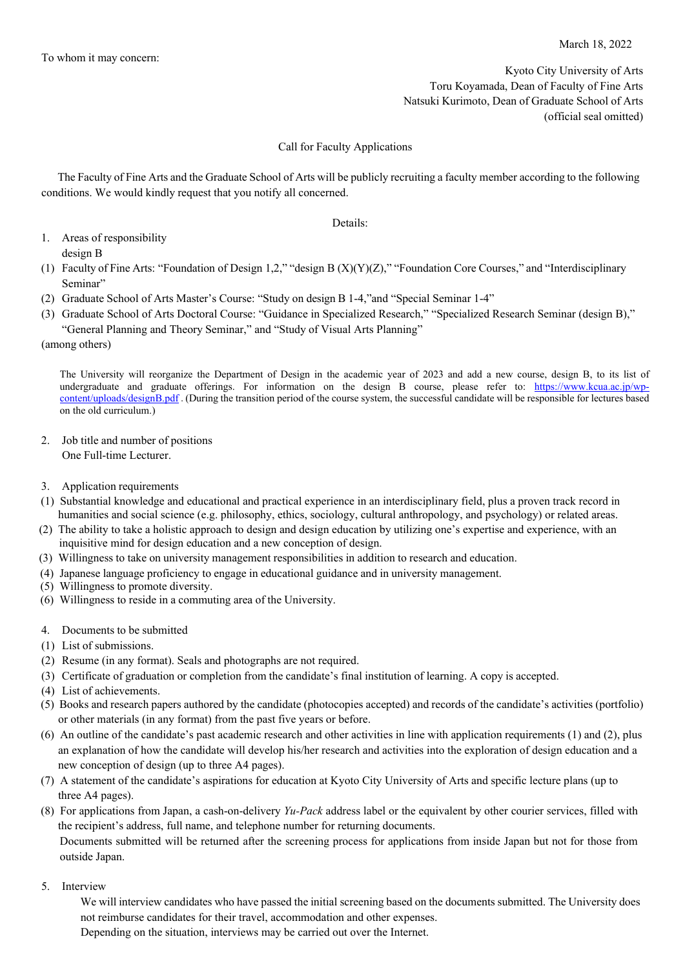Kyoto City University of Arts Toru Koyamada, Dean of Faculty of Fine Arts Natsuki Kurimoto, Dean of Graduate School of Arts (official seal omitted)

## Call for Faculty Applications

The Faculty of Fine Arts and the Graduate School of Arts will be publicly recruiting a faculty member according to the following conditions. We would kindly request that you notify all concerned.

Details:

- 1. Areas of responsibility design B
- (1) Faculty of Fine Arts: "Foundation of Design 1,2," "design B (X)(Y)(Z)," "Foundation Core Courses," and "Interdisciplinary Seminar"
- (2) Graduate School of Arts Master's Course: "Study on design B 1-4,"and "Special Seminar 1-4"
- (3) Graduate School of Arts Doctoral Course: "Guidance in Specialized Research," "Specialized Research Seminar (design B),"
	- "General Planning and Theory Seminar," and "Study of Visual Arts Planning"
- (among others)

 The University will reorganize the Department of Design in the academic year of 2023 and add a new course, design B, to its list of undergraduate and graduate offerings. For information on the design B course, please refer to: [https://www.kcua.ac.jp/wp](https://www.kcua.ac.jp/wp-content/uploads/designB.pdf)[content/uploads/designB.pdf](https://www.kcua.ac.jp/wp-content/uploads/designB.pdf) .(During the transition period of the course system, the successful candidate will be responsible for lectures based on the old curriculum.)

2. Job title and number of positions

One Full-time Lecturer.

- 3. Application requirements
- (1) Substantial knowledge and educational and practical experience in an interdisciplinary field, plus a proven track record in humanities and social science (e.g. philosophy, ethics, sociology, cultural anthropology, and psychology) or related areas.
- (2) The ability to take a holistic approach to design and design education by utilizing one's expertise and experience, with an inquisitive mind for design education and a new conception of design.
- (3) Willingness to take on university management responsibilities in addition to research and education.
- (4) Japanese language proficiency to engage in educational guidance and in university management.
- (5) Willingness to promote diversity.
- (6) Willingness to reside in a commuting area of the University.
- 4. Documents to be submitted
- (1) List of submissions.
- (2) Resume (in any format). Seals and photographs are not required.
- (3) Certificate of graduation or completion from the candidate's final institution of learning. A copy is accepted.
- (4) List of achievements.
- (5) Books and research papers authored by the candidate (photocopies accepted) and records of the candidate's activities (portfolio) or other materials (in any format) from the past five years or before.
- (6) An outline of the candidate's past academic research and other activities in line with application requirements (1) and (2), plus an explanation of how the candidate will develop his/her research and activities into the exploration of design education and a new conception of design (up to three A4 pages).
- (7) A statement of the candidate's aspirations for education at Kyoto City University of Arts and specific lecture plans (up to three A4 pages).
- (8) For applications from Japan, a cash-on-delivery *Yu-Pack* address label or the equivalent by other courier services, filled with the recipient's address, full name, and telephone number for returning documents. Documents submitted will be returned after the screening process for applications from inside Japan but not for those from outside Japan.
- 5. Interview

We will interview candidates who have passed the initial screening based on the documents submitted. The University does not reimburse candidates for their travel, accommodation and other expenses.

Depending on the situation, interviews may be carried out over the Internet.